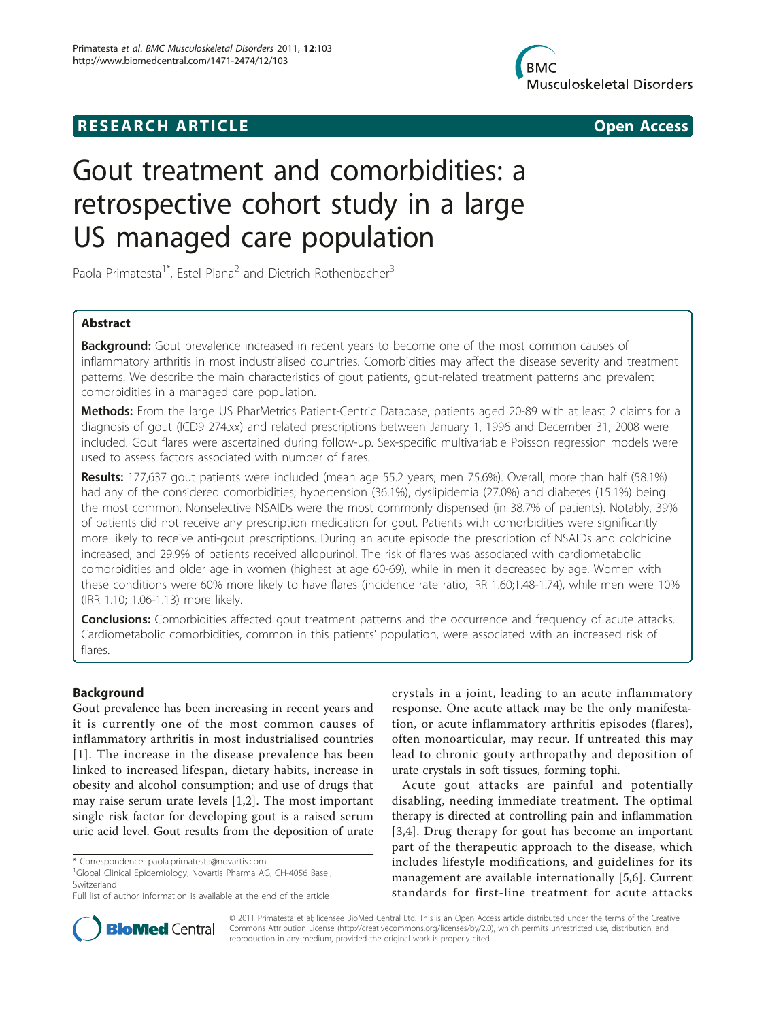# **RESEARCH ARTICLE Example 2014 CONSIDERING ACCESS**



# Gout treatment and comorbidities: a retrospective cohort study in a large US managed care population

Paola Primatesta<sup>1\*</sup>, Estel Plana<sup>2</sup> and Dietrich Rothenbacher<sup>3</sup>

# Abstract

Background: Gout prevalence increased in recent years to become one of the most common causes of inflammatory arthritis in most industrialised countries. Comorbidities may affect the disease severity and treatment patterns. We describe the main characteristics of gout patients, gout-related treatment patterns and prevalent comorbidities in a managed care population.

Methods: From the large US PharMetrics Patient-Centric Database, patients aged 20-89 with at least 2 claims for a diagnosis of gout (ICD9 274.xx) and related prescriptions between January 1, 1996 and December 31, 2008 were included. Gout flares were ascertained during follow-up. Sex-specific multivariable Poisson regression models were used to assess factors associated with number of flares.

Results: 177,637 gout patients were included (mean age 55.2 years; men 75.6%). Overall, more than half (58.1%) had any of the considered comorbidities; hypertension (36.1%), dyslipidemia (27.0%) and diabetes (15.1%) being the most common. Nonselective NSAIDs were the most commonly dispensed (in 38.7% of patients). Notably, 39% of patients did not receive any prescription medication for gout. Patients with comorbidities were significantly more likely to receive anti-gout prescriptions. During an acute episode the prescription of NSAIDs and colchicine increased; and 29.9% of patients received allopurinol. The risk of flares was associated with cardiometabolic comorbidities and older age in women (highest at age 60-69), while in men it decreased by age. Women with these conditions were 60% more likely to have flares (incidence rate ratio, IRR 1.60;1.48-1.74), while men were 10% (IRR 1.10; 1.06-1.13) more likely.

**Conclusions:** Comorbidities affected gout treatment patterns and the occurrence and frequency of acute attacks. Cardiometabolic comorbidities, common in this patients' population, were associated with an increased risk of flares.

# Background

Gout prevalence has been increasing in recent years and it is currently one of the most common causes of inflammatory arthritis in most industrialised countries [[1\]](#page-6-0). The increase in the disease prevalence has been linked to increased lifespan, dietary habits, increase in obesity and alcohol consumption; and use of drugs that may raise serum urate levels [[1,2\]](#page-6-0). The most important single risk factor for developing gout is a raised serum uric acid level. Gout results from the deposition of urate

<sup>1</sup>Global Clinical Epidemiology, Novartis Pharma AG, CH-4056 Basel, Switzerland

crystals in a joint, leading to an acute inflammatory response. One acute attack may be the only manifestation, or acute inflammatory arthritis episodes (flares), often monoarticular, may recur. If untreated this may lead to chronic gouty arthropathy and deposition of urate crystals in soft tissues, forming tophi.

Acute gout attacks are painful and potentially disabling, needing immediate treatment. The optimal therapy is directed at controlling pain and inflammation [[3](#page-6-0),[4\]](#page-6-0). Drug therapy for gout has become an important part of the therapeutic approach to the disease, which includes lifestyle modifications, and guidelines for its management are available internationally [\[5](#page-6-0),[6\]](#page-6-0). Current standards for first-line treatment for acute attacks



© 2011 Primatesta et al; licensee BioMed Central Ltd. This is an Open Access article distributed under the terms of the Creative Commons Attribution License [\(http://creativecommons.org/licenses/by/2.0](http://creativecommons.org/licenses/by/2.0)), which permits unrestricted use, distribution, and reproduction in any medium, provided the original work is properly cited.

<sup>\*</sup> Correspondence: [paola.primatesta@novartis.com](mailto:paola.primatesta@novartis.com)

Full list of author information is available at the end of the article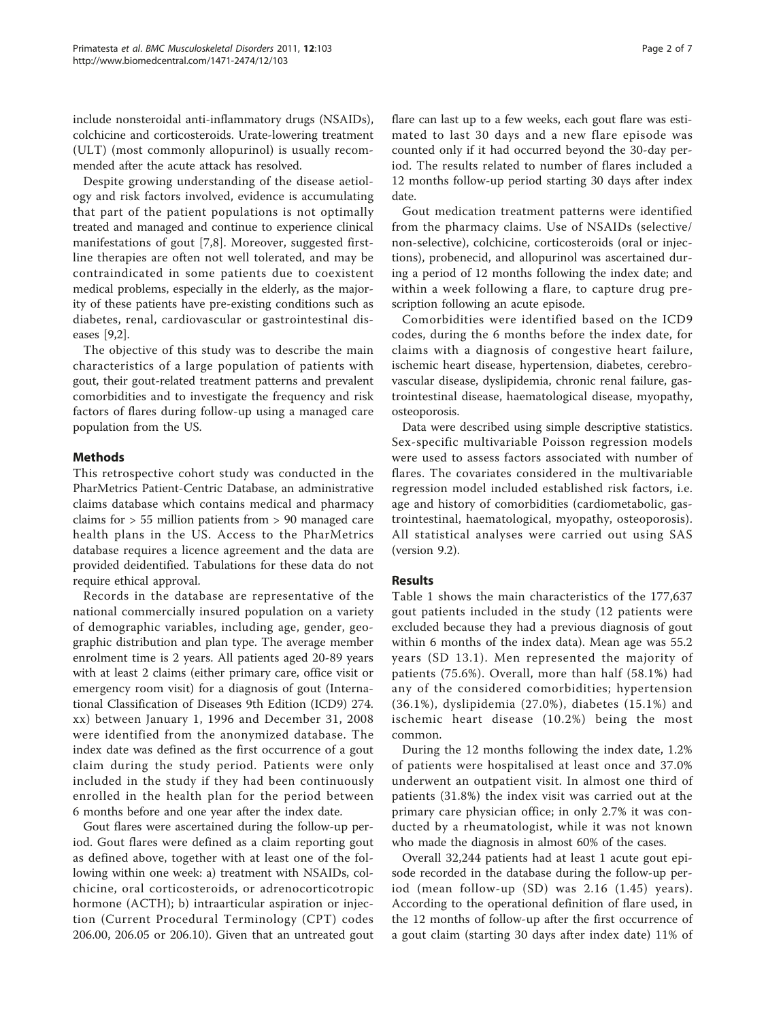include nonsteroidal anti-inflammatory drugs (NSAIDs), colchicine and corticosteroids. Urate-lowering treatment (ULT) (most commonly allopurinol) is usually recommended after the acute attack has resolved.

Despite growing understanding of the disease aetiology and risk factors involved, evidence is accumulating that part of the patient populations is not optimally treated and managed and continue to experience clinical manifestations of gout [\[7](#page-6-0),[8\]](#page-6-0). Moreover, suggested firstline therapies are often not well tolerated, and may be contraindicated in some patients due to coexistent medical problems, especially in the elderly, as the majority of these patients have pre-existing conditions such as diabetes, renal, cardiovascular or gastrointestinal diseases [[9,2\]](#page-6-0).

The objective of this study was to describe the main characteristics of a large population of patients with gout, their gout-related treatment patterns and prevalent comorbidities and to investigate the frequency and risk factors of flares during follow-up using a managed care population from the US.

# Methods

This retrospective cohort study was conducted in the PharMetrics Patient-Centric Database, an administrative claims database which contains medical and pharmacy claims for > 55 million patients from > 90 managed care health plans in the US. Access to the PharMetrics database requires a licence agreement and the data are provided deidentified. Tabulations for these data do not require ethical approval.

Records in the database are representative of the national commercially insured population on a variety of demographic variables, including age, gender, geographic distribution and plan type. The average member enrolment time is 2 years. All patients aged 20-89 years with at least 2 claims (either primary care, office visit or emergency room visit) for a diagnosis of gout (International Classification of Diseases 9th Edition (ICD9) 274. xx) between January 1, 1996 and December 31, 2008 were identified from the anonymized database. The index date was defined as the first occurrence of a gout claim during the study period. Patients were only included in the study if they had been continuously enrolled in the health plan for the period between 6 months before and one year after the index date.

Gout flares were ascertained during the follow-up period. Gout flares were defined as a claim reporting gout as defined above, together with at least one of the following within one week: a) treatment with NSAIDs, colchicine, oral corticosteroids, or adrenocorticotropic hormone (ACTH); b) intraarticular aspiration or injection (Current Procedural Terminology (CPT) codes 206.00, 206.05 or 206.10). Given that an untreated gout flare can last up to a few weeks, each gout flare was estimated to last 30 days and a new flare episode was counted only if it had occurred beyond the 30-day period. The results related to number of flares included a 12 months follow-up period starting 30 days after index date.

Gout medication treatment patterns were identified from the pharmacy claims. Use of NSAIDs (selective/ non-selective), colchicine, corticosteroids (oral or injections), probenecid, and allopurinol was ascertained during a period of 12 months following the index date; and within a week following a flare, to capture drug prescription following an acute episode.

Comorbidities were identified based on the ICD9 codes, during the 6 months before the index date, for claims with a diagnosis of congestive heart failure, ischemic heart disease, hypertension, diabetes, cerebrovascular disease, dyslipidemia, chronic renal failure, gastrointestinal disease, haematological disease, myopathy, osteoporosis.

Data were described using simple descriptive statistics. Sex-specific multivariable Poisson regression models were used to assess factors associated with number of flares. The covariates considered in the multivariable regression model included established risk factors, i.e. age and history of comorbidities (cardiometabolic, gastrointestinal, haematological, myopathy, osteoporosis). All statistical analyses were carried out using SAS (version 9.2).

# Results

Table [1](#page-2-0) shows the main characteristics of the 177,637 gout patients included in the study (12 patients were excluded because they had a previous diagnosis of gout within 6 months of the index data). Mean age was 55.2 years (SD 13.1). Men represented the majority of patients (75.6%). Overall, more than half (58.1%) had any of the considered comorbidities; hypertension (36.1%), dyslipidemia (27.0%), diabetes (15.1%) and ischemic heart disease (10.2%) being the most common.

During the 12 months following the index date, 1.2% of patients were hospitalised at least once and 37.0% underwent an outpatient visit. In almost one third of patients (31.8%) the index visit was carried out at the primary care physician office; in only 2.7% it was conducted by a rheumatologist, while it was not known who made the diagnosis in almost 60% of the cases.

Overall 32,244 patients had at least 1 acute gout episode recorded in the database during the follow-up period (mean follow-up (SD) was 2.16 (1.45) years). According to the operational definition of flare used, in the 12 months of follow-up after the first occurrence of a gout claim (starting 30 days after index date) 11% of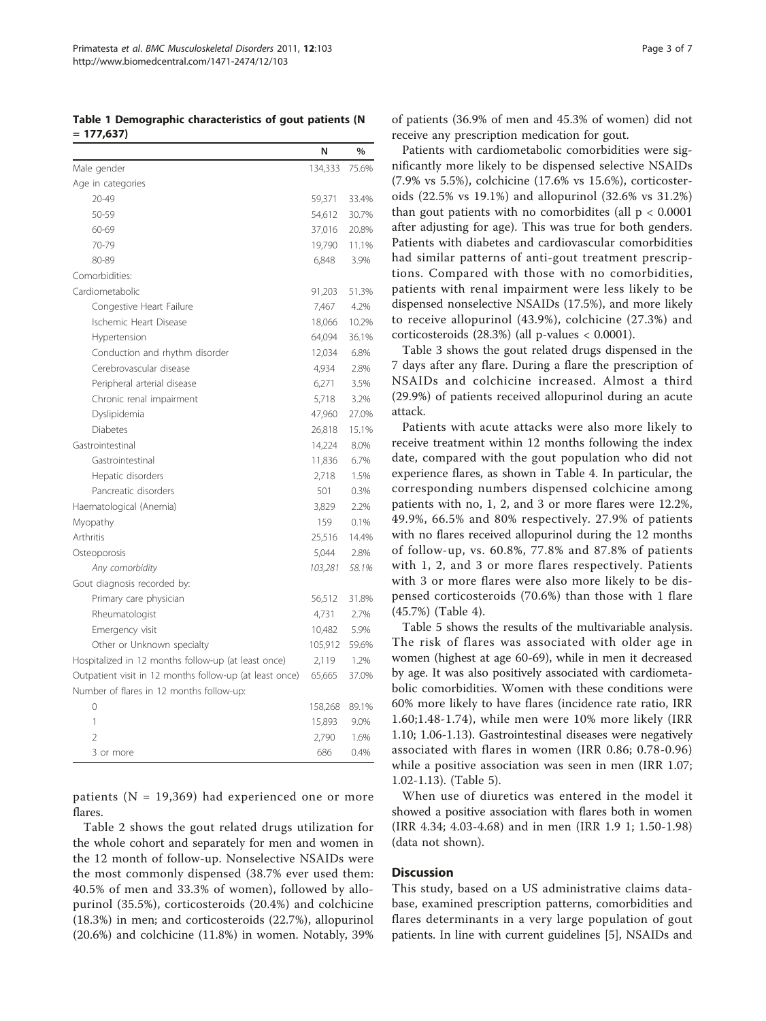<span id="page-2-0"></span>Table 1 Demographic characteristics of gout patients (N  $= 177,637$ 

|                                                         | N       | $\%$  |
|---------------------------------------------------------|---------|-------|
| Male gender                                             | 134,333 | 75.6% |
| Age in categories                                       |         |       |
| 20-49                                                   | 59,371  | 33.4% |
| 50-59                                                   | 54,612  | 30.7% |
| 60-69                                                   | 37,016  | 20.8% |
| 70-79                                                   | 19,790  | 11.1% |
| 80-89                                                   | 6,848   | 3.9%  |
| Comorbidities:                                          |         |       |
| Cardiometabolic                                         | 91,203  | 51.3% |
| Congestive Heart Failure                                | 7,467   | 4.2%  |
| Ischemic Heart Disease                                  | 18,066  | 10.2% |
| Hypertension                                            | 64,094  | 36.1% |
| Conduction and rhythm disorder                          | 12,034  | 6.8%  |
| Cerebrovascular disease                                 | 4,934   | 2.8%  |
| Peripheral arterial disease                             | 6,271   | 3.5%  |
| Chronic renal impairment                                | 5,718   | 3.2%  |
| Dyslipidemia                                            | 47,960  | 27.0% |
| <b>Diabetes</b>                                         | 26,818  | 15.1% |
| Gastrointestinal                                        | 14,224  | 8.0%  |
| Gastrointestinal                                        | 11,836  | 6.7%  |
| Hepatic disorders                                       | 2,718   | 1.5%  |
| Pancreatic disorders                                    | 501     | 0.3%  |
| Haematological (Anemia)                                 | 3,829   | 2.2%  |
| Myopathy                                                | 159     | 0.1%  |
| Arthritis                                               | 25,516  | 14.4% |
| Osteoporosis                                            | 5,044   | 2.8%  |
| Any comorbidity                                         | 103,281 | 58.1% |
| Gout diagnosis recorded by:                             |         |       |
| Primary care physician                                  | 56,512  | 31.8% |
| Rheumatologist                                          | 4,731   | 2.7%  |
| Emergency visit                                         | 10,482  | 5.9%  |
| Other or Unknown specialty                              | 105,912 | 59.6% |
| Hospitalized in 12 months follow-up (at least once)     | 2,119   | 1.2%  |
| Outpatient visit in 12 months follow-up (at least once) | 65,665  | 37.0% |
| Number of flares in 12 months follow-up:                |         |       |
| $\Omega$                                                | 158,268 | 89.1% |
| 1                                                       | 15,893  | 9.0%  |
| $\overline{\mathcal{L}}$                                | 2,790   | 1.6%  |
| 3 or more                                               | 686     | 0.4%  |

patients (N = 19,369) had experienced one or more flares.

Table [2](#page-3-0) shows the gout related drugs utilization for the whole cohort and separately for men and women in the 12 month of follow-up. Nonselective NSAIDs were the most commonly dispensed (38.7% ever used them: 40.5% of men and 33.3% of women), followed by allopurinol (35.5%), corticosteroids (20.4%) and colchicine (18.3%) in men; and corticosteroids (22.7%), allopurinol (20.6%) and colchicine (11.8%) in women. Notably, 39% of patients (36.9% of men and 45.3% of women) did not receive any prescription medication for gout.

Patients with cardiometabolic comorbidities were significantly more likely to be dispensed selective NSAIDs (7.9% vs 5.5%), colchicine (17.6% vs 15.6%), corticosteroids (22.5% vs 19.1%) and allopurinol (32.6% vs 31.2%) than gout patients with no comorbidites (all  $p < 0.0001$ ) after adjusting for age). This was true for both genders. Patients with diabetes and cardiovascular comorbidities had similar patterns of anti-gout treatment prescriptions. Compared with those with no comorbidities, patients with renal impairment were less likely to be dispensed nonselective NSAIDs (17.5%), and more likely to receive allopurinol (43.9%), colchicine (27.3%) and corticosteroids (28.3%) (all p-values < 0.0001).

Table [3](#page-4-0) shows the gout related drugs dispensed in the 7 days after any flare. During a flare the prescription of NSAIDs and colchicine increased. Almost a third (29.9%) of patients received allopurinol during an acute attack.

Patients with acute attacks were also more likely to receive treatment within 12 months following the index date, compared with the gout population who did not experience flares, as shown in Table [4](#page-4-0). In particular, the corresponding numbers dispensed colchicine among patients with no, 1, 2, and 3 or more flares were 12.2%, 49.9%, 66.5% and 80% respectively. 27.9% of patients with no flares received allopurinol during the 12 months of follow-up, vs. 60.8%, 77.8% and 87.8% of patients with 1, 2, and 3 or more flares respectively. Patients with 3 or more flares were also more likely to be dispensed corticosteroids (70.6%) than those with 1 flare (45.7%) (Table [4](#page-4-0)).

Table [5](#page-4-0) shows the results of the multivariable analysis. The risk of flares was associated with older age in women (highest at age 60-69), while in men it decreased by age. It was also positively associated with cardiometabolic comorbidities. Women with these conditions were 60% more likely to have flares (incidence rate ratio, IRR 1.60;1.48-1.74), while men were 10% more likely (IRR 1.10; 1.06-1.13). Gastrointestinal diseases were negatively associated with flares in women (IRR 0.86; 0.78-0.96) while a positive association was seen in men (IRR 1.07; 1.02-1.13). (Table [5\)](#page-4-0).

When use of diuretics was entered in the model it showed a positive association with flares both in women (IRR 4.34; 4.03-4.68) and in men (IRR 1.9 1; 1.50-1.98) (data not shown).

# **Discussion**

This study, based on a US administrative claims database, examined prescription patterns, comorbidities and flares determinants in a very large population of gout patients. In line with current guidelines [\[5](#page-6-0)], NSAIDs and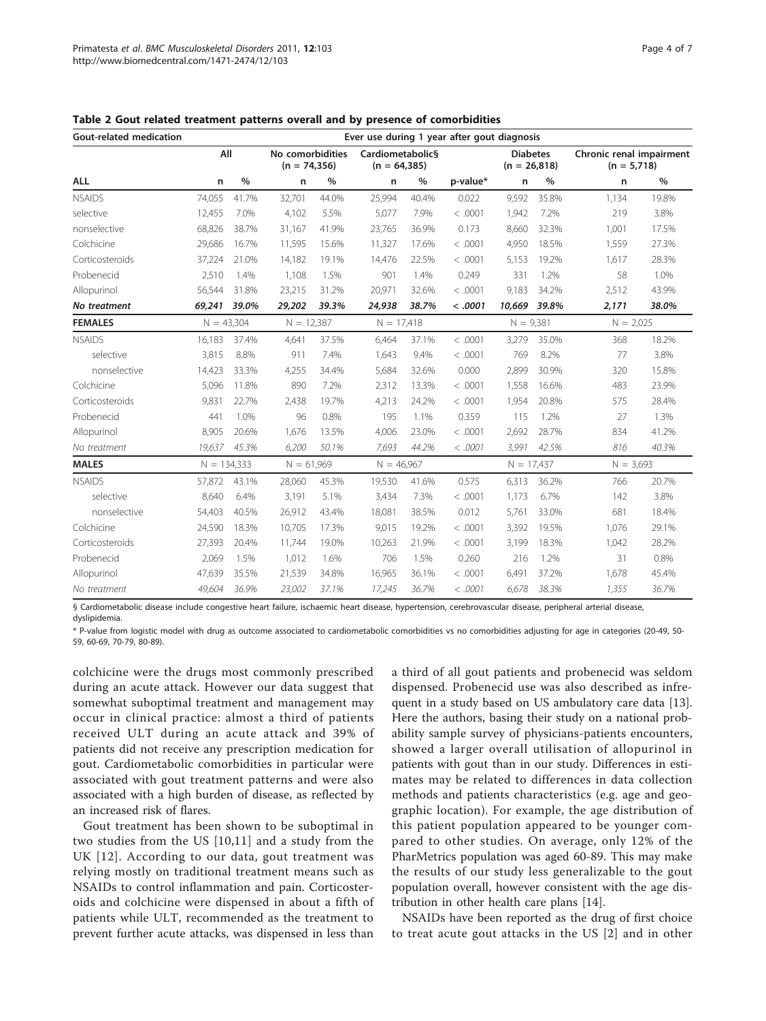| <b>Gout-related medication</b> |               |       |              |                                    |              |                                    | Ever use during 1 year after gout diagnosis |                                   |       |                                           |       |
|--------------------------------|---------------|-------|--------------|------------------------------------|--------------|------------------------------------|---------------------------------------------|-----------------------------------|-------|-------------------------------------------|-------|
|                                | All           |       |              | No comorbidities<br>$(n = 74,356)$ |              | Cardiometabolic§<br>$(n = 64,385)$ |                                             | <b>Diabetes</b><br>$(n = 26,818)$ |       | Chronic renal impairment<br>$(n = 5,718)$ |       |
| <b>ALL</b>                     | n             | $\%$  | n            | %                                  | n            | $\%$                               | p-value*                                    | n                                 | $\%$  | n                                         | $\%$  |
| <b>NSAIDS</b>                  | 74.055        | 41.7% | 32,701       | 44.0%                              | 25,994       | 40.4%                              | 0.022                                       | 9,592                             | 35.8% | 1.134                                     | 19.8% |
| selective                      | 12,455        | 7.0%  | 4,102        | 5.5%                               | 5,077        | 7.9%                               | < .0001                                     | 1,942                             | 7.2%  | 219                                       | 3.8%  |
| nonselective                   | 68,826        | 38.7% | 31,167       | 41.9%                              | 23,765       | 36.9%                              | 0.173                                       | 8,660                             | 32.3% | 1,001                                     | 17.5% |
| Colchicine                     | 29,686        | 16.7% | 11,595       | 15.6%                              | 11,327       | 17.6%                              | < .0001                                     | 4,950                             | 18.5% | 1,559                                     | 27.3% |
| Corticosteroids                | 37,224        | 21.0% | 14,182       | 19.1%                              | 14,476       | 22.5%                              | < .0001                                     | 5,153                             | 19.2% | 1,617                                     | 28.3% |
| Probenecid                     | 2,510         | 1.4%  | 1,108        | 1.5%                               | 901          | 1.4%                               | 0.249                                       | 331                               | 1.2%  | 58                                        | 1.0%  |
| Allopurinol                    | 56,544        | 31.8% | 23,215       | 31.2%                              | 20,971       | 32.6%                              | < .0001                                     | 9,183                             | 34.2% | 2,512                                     | 43.9% |
| No treatment                   | 69,241        | 39.0% | 29,202       | 39.3%                              | 24,938       | 38.7%                              | < .0001                                     | 10,669 39.8%                      |       | 2,171                                     | 38.0% |
| <b>FEMALES</b>                 | $N = 43,304$  |       | $N = 12,387$ |                                    | $N = 17,418$ |                                    |                                             | $N = 9,381$                       |       | $N = 2,025$                               |       |
| <b>NSAIDS</b>                  | 16.183        | 37.4% | 4.641        | 37.5%                              | 6.464        | 37.1%                              | < .0001                                     | 3.279                             | 35.0% | 368                                       | 18.2% |
| selective                      | 3,815         | 8.8%  | 911          | 7.4%                               | 1,643        | 9.4%                               | < .0001                                     | 769                               | 8.2%  | 77                                        | 3.8%  |
| nonselective                   | 14,423        | 33.3% | 4,255        | 34.4%                              | 5,684        | 32.6%                              | 0.000                                       | 2,899                             | 30.9% | 320                                       | 15.8% |
| Colchicine                     | 5,096         | 11.8% | 890          | 7.2%                               | 2,312        | 13.3%                              | < .0001                                     | 1.558                             | 16.6% | 483                                       | 23.9% |
| Corticosteroids                | 9,831         | 22.7% | 2,438        | 19.7%                              | 4,213        | 24.2%                              | < .0001                                     | 1,954                             | 20.8% | 575                                       | 28.4% |
| Probenecid                     | 441           | 1.0%  | 96           | 0.8%                               | 195          | 1.1%                               | 0.359                                       | 115                               | 1.2%  | 27                                        | 1.3%  |
| Allopurinol                    | 8,905         | 20.6% | 1,676        | 13.5%                              | 4,006        | 23.0%                              | < .0001                                     | 2,692                             | 28.7% | 834                                       | 41.2% |
| No treatment                   | 19,637        | 45.3% | 6,200        | 50.1%                              | 7,693        | 44.2%                              | < .0001                                     | 3,991                             | 42.5% | 816                                       | 40.3% |
| <b>MALES</b>                   | $N = 134,333$ |       | $N = 61,969$ |                                    | $N = 46,967$ |                                    |                                             | $N = 17,437$                      |       | $N = 3,693$                               |       |
| <b>NSAIDS</b>                  | 57,872        | 43.1% | 28,060       | 45.3%                              | 19,530       | 41.6%                              | 0.575                                       | 6,313                             | 36.2% | 766                                       | 20.7% |
| selective                      | 8,640         | 6.4%  | 3,191        | 5.1%                               | 3,434        | 7.3%                               | < .0001                                     | 1,173                             | 6.7%  | 142                                       | 3.8%  |
| nonselective                   | 54,403        | 40.5% | 26,912       | 43.4%                              | 18,081       | 38.5%                              | 0.012                                       | 5,761                             | 33.0% | 681                                       | 18.4% |
| Colchicine                     | 24,590        | 18.3% | 10,705       | 17.3%                              | 9.015        | 19.2%                              | < .0001                                     | 3,392                             | 19.5% | 1.076                                     | 29.1% |
| Corticosteroids                | 27,393        | 20.4% | 11,744       | 19.0%                              | 10,263       | 21.9%                              | < .0001                                     | 3,199                             | 18.3% | 1,042                                     | 28.2% |
| Probenecid                     | 2,069         | 1.5%  | 1,012        | 1.6%                               | 706          | 1.5%                               | 0.260                                       | 216                               | 1.2%  | 31                                        | 0.8%  |
| Allopurinol                    | 47,639        | 35.5% | 21,539       | 34.8%                              | 16,965       | 36.1%                              | < .0001                                     | 6,491                             | 37.2% | 1,678                                     | 45.4% |
| No treatment                   | 49,604        | 36.9% | 23,002       | 37.1%                              | 17,245       | 36.7%                              | < .0001                                     | 6,678                             | 38.3% | 1,355                                     | 36.7% |

<span id="page-3-0"></span>Table 2 Gout related treatment patterns overall and by presence of comorbidities

§ Cardiometabolic disease include congestive heart failure, ischaemic heart disease, hypertension, cerebrovascular disease, peripheral arterial disease, dyslipidemia.

\* P-value from logistic model with drug as outcome associated to cardiometabolic comorbidities vs no comorbidities adjusting for age in categories (20-49, 50- 59, 60-69, 70-79, 80-89).

colchicine were the drugs most commonly prescribed during an acute attack. However our data suggest that somewhat suboptimal treatment and management may occur in clinical practice: almost a third of patients received ULT during an acute attack and 39% of patients did not receive any prescription medication for gout. Cardiometabolic comorbidities in particular were associated with gout treatment patterns and were also associated with a high burden of disease, as reflected by an increased risk of flares.

Gout treatment has been shown to be suboptimal in two studies from the US [[10,11\]](#page-6-0) and a study from the UK [[12\]](#page-6-0). According to our data, gout treatment was relying mostly on traditional treatment means such as NSAIDs to control inflammation and pain. Corticosteroids and colchicine were dispensed in about a fifth of patients while ULT, recommended as the treatment to prevent further acute attacks, was dispensed in less than

a third of all gout patients and probenecid was seldom dispensed. Probenecid use was also described as infrequent in a study based on US ambulatory care data [[13](#page-6-0)]. Here the authors, basing their study on a national probability sample survey of physicians-patients encounters, showed a larger overall utilisation of allopurinol in patients with gout than in our study. Differences in estimates may be related to differences in data collection methods and patients characteristics (e.g. age and geographic location). For example, the age distribution of this patient population appeared to be younger compared to other studies. On average, only 12% of the PharMetrics population was aged 60-89. This may make the results of our study less generalizable to the gout population overall, however consistent with the age distribution in other health care plans [[14\]](#page-6-0).

NSAIDs have been reported as the drug of first choice to treat acute gout attacks in the US [\[2\]](#page-6-0) and in other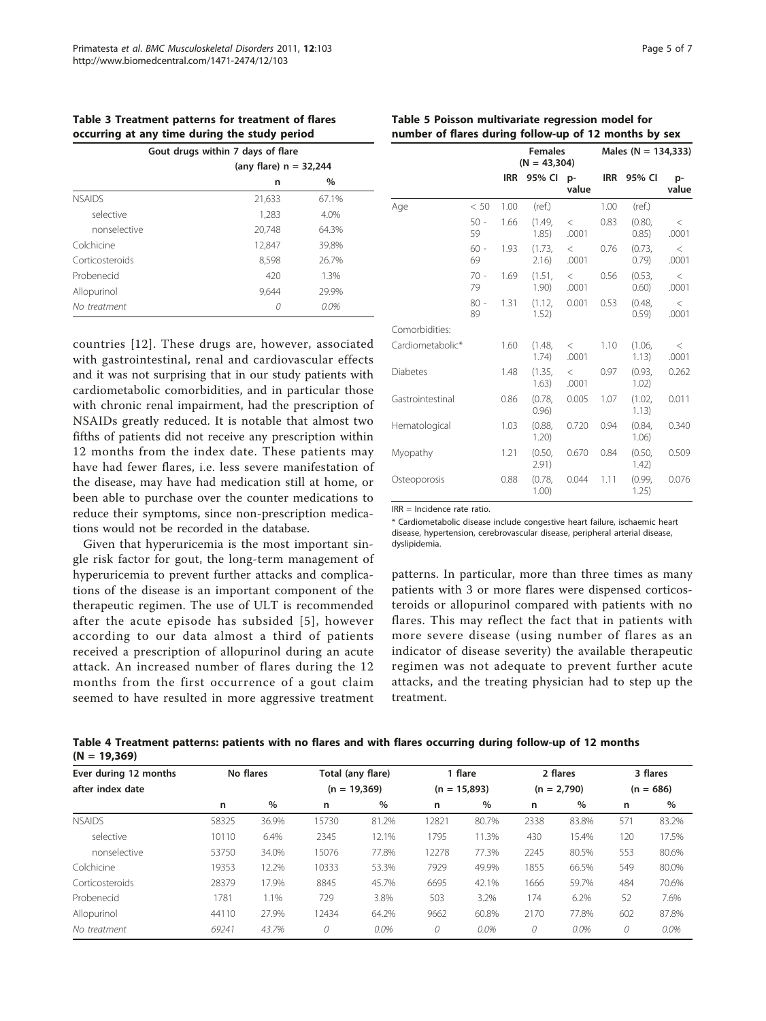<span id="page-4-0"></span>Table 3 Treatment patterns for treatment of flares occurring at any time during the study period

|                 | Gout drugs within 7 days of flare |               |  |  |  |  |  |  |
|-----------------|-----------------------------------|---------------|--|--|--|--|--|--|
|                 | (any flare) $n = 32,244$          |               |  |  |  |  |  |  |
|                 | n                                 | $\frac{0}{0}$ |  |  |  |  |  |  |
| <b>NSAIDS</b>   | 21,633                            | 67.1%         |  |  |  |  |  |  |
| selective       | 1,283                             | 4.0%          |  |  |  |  |  |  |
| nonselective    | 20.748                            | 64.3%         |  |  |  |  |  |  |
| Colchicine      | 12,847                            | 39.8%         |  |  |  |  |  |  |
| Corticosteroids | 8,598                             | 26.7%         |  |  |  |  |  |  |
| Probenecid      | 420                               | 1.3%          |  |  |  |  |  |  |
| Allopurinol     | 9,644                             | 29.9%         |  |  |  |  |  |  |
| No treatment    | 0                                 | 0.0%          |  |  |  |  |  |  |
|                 |                                   |               |  |  |  |  |  |  |

countries [[12\]](#page-6-0). These drugs are, however, associated with gastrointestinal, renal and cardiovascular effects and it was not surprising that in our study patients with cardiometabolic comorbidities, and in particular those with chronic renal impairment, had the prescription of NSAIDs greatly reduced. It is notable that almost two fifths of patients did not receive any prescription within 12 months from the index date. These patients may have had fewer flares, i.e. less severe manifestation of the disease, may have had medication still at home, or been able to purchase over the counter medications to reduce their symptoms, since non-prescription medications would not be recorded in the database.

Given that hyperuricemia is the most important single risk factor for gout, the long-term management of hyperuricemia to prevent further attacks and complications of the disease is an important component of the therapeutic regimen. The use of ULT is recommended after the acute episode has subsided [[5](#page-6-0)], however according to our data almost a third of patients received a prescription of allopurinol during an acute attack. An increased number of flares during the 12 months from the first occurrence of a gout claim seemed to have resulted in more aggressive treatment

|                  |              |            | <b>Females</b><br>$(N = 43,304)$ |                |            | Males ( $N = 134,333$ ) |                  |  |  |
|------------------|--------------|------------|----------------------------------|----------------|------------|-------------------------|------------------|--|--|
|                  |              | <b>IRR</b> | 95% Cl p-                        | value          | <b>IRR</b> | 95% CI                  | p-<br>value      |  |  |
| Age              | < 50         | 1.00       | (ref.)                           |                | 1.00       | (ref.)                  |                  |  |  |
|                  | $50 -$<br>59 | 1.66       | (1.49.<br>1.85)                  | $\lt$<br>.0001 | 0.83       | $(0.80)$ .<br>0.85)     | $\,<\,$<br>.0001 |  |  |
|                  | $60 -$<br>69 | 1.93       | (1.73,<br>2.16)                  | $\lt$<br>.0001 | 0.76       | (0.73,<br>0.79)         | $\,<\,$<br>.0001 |  |  |
|                  | $70 -$<br>79 | 1.69       | (1.51,<br>1.90)                  | $\,<$<br>.0001 | 0.56       | (0.53,<br>0.60)         | $\,<\,$<br>.0001 |  |  |
|                  | $80 -$<br>89 | 1.31       | (1.12,<br>1.52)                  | 0.001          | 0.53       | (0.48,<br>0.59)         | $\,<\,$<br>.0001 |  |  |
| Comorbidities:   |              |            |                                  |                |            |                         |                  |  |  |
| Cardiometabolic* |              | 1.60       | (1.48,<br>1.74)                  | $\lt$<br>.0001 | 1.10       | (1.06,<br>1.13)         | $\,<\,$<br>.0001 |  |  |
| <b>Diabetes</b>  |              | 1.48       | (1.35,<br>1.63)                  | $\lt$<br>.0001 | 0.97       | (0.93.<br>1.02)         | 0.262            |  |  |
| Gastrointestinal |              | 0.86       | (0.78,<br>0.96)                  | 0.005          | 1.07       | (1.02,<br>1.13)         | 0.011            |  |  |
| Hematological    |              | 1.03       | (0.88,<br>1.20)                  | 0.720          | 0.94       | (0.84,<br>1.06)         | 0.340            |  |  |
| Myopathy         |              | 1.21       | (0.50,<br>2.91)                  | 0.670          | 0.84       | $(0.50)$ .<br>1.42)     | 0.509            |  |  |
| Osteoporosis     |              | 0.88       | (0.78,<br>1.00)                  | 0.044          | 1.11       | (0.99,<br>1.25)         | 0.076            |  |  |

 $IRR = Inc$ idence rate ratio.

\* Cardiometabolic disease include congestive heart failure, ischaemic heart disease, hypertension, cerebrovascular disease, peripheral arterial disease, dyslipidemia.

patterns. In particular, more than three times as many patients with 3 or more flares were dispensed corticosteroids or allopurinol compared with patients with no flares. This may reflect the fact that in patients with more severe disease (using number of flares as an indicator of disease severity) the available therapeutic regimen was not adequate to prevent further acute attacks, and the treating physician had to step up the treatment.

| Table 4 Treatment patterns: patients with no flares and with flares occurring during follow-up of 12 months |  |  |  |  |  |
|-------------------------------------------------------------------------------------------------------------|--|--|--|--|--|
| $(N = 19,369)$                                                                                              |  |  |  |  |  |

| Ever during 12 months | No flares |       | Total (any flare) |       | 1 flare        |       | 2 flares      |         | 3 flares    |       |
|-----------------------|-----------|-------|-------------------|-------|----------------|-------|---------------|---------|-------------|-------|
| after index date      |           |       | $(n = 19,369)$    |       | $(n = 15,893)$ |       | $(n = 2,790)$ |         | $(n = 686)$ |       |
|                       | n         | %     | n                 | $\%$  | n              | $\%$  | n             | $\%$    | n           | $\%$  |
| <b>NSAIDS</b>         | 58325     | 36.9% | 15730             | 81.2% | 12821          | 80.7% | 2338          | 83.8%   | 571         | 83.2% |
| selective             | 10110     | 6.4%  | 2345              | 12.1% | 1795           | 11.3% | 430           | 15.4%   | 120         | 17.5% |
| nonselective          | 53750     | 34.0% | 15076             | 77.8% | 12278          | 77.3% | 2245          | 80.5%   | 553         | 80.6% |
| Colchicine            | 19353     | 12.2% | 10333             | 53.3% | 7929           | 49.9% | 1855          | 66.5%   | 549         | 80.0% |
| Corticosteroids       | 28379     | 17.9% | 8845              | 45.7% | 6695           | 42.1% | 1666          | 59.7%   | 484         | 70.6% |
| Probenecid            | 1781      | 1.1%  | 729               | 3.8%  | 503            | 3.2%  | 174           | 6.2%    | 52          | 7.6%  |
| Allopurinol           | 44110     | 27.9% | 12434             | 64.2% | 9662           | 60.8% | 2170          | 77.8%   | 602         | 87.8% |
| No treatment          | 69241     | 43.7% | 0                 | 0.0%  | 0              | 0.0%  | 0             | $0.0\%$ | 0           | 0.0%  |

# Table 5 Poisson multivariate regression model for number of flares during follow-up of 12 months by sex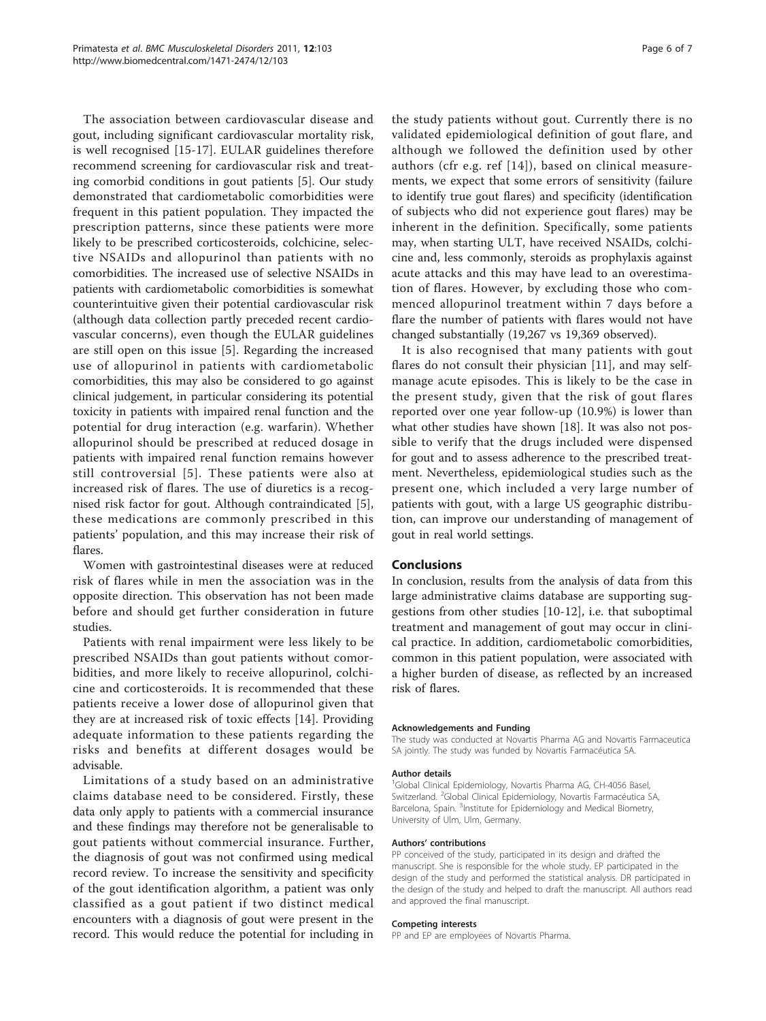The association between cardiovascular disease and gout, including significant cardiovascular mortality risk, is well recognised [[15-17\]](#page-6-0). EULAR guidelines therefore recommend screening for cardiovascular risk and treating comorbid conditions in gout patients [[5\]](#page-6-0). Our study demonstrated that cardiometabolic comorbidities were frequent in this patient population. They impacted the prescription patterns, since these patients were more likely to be prescribed corticosteroids, colchicine, selective NSAIDs and allopurinol than patients with no comorbidities. The increased use of selective NSAIDs in patients with cardiometabolic comorbidities is somewhat counterintuitive given their potential cardiovascular risk (although data collection partly preceded recent cardiovascular concerns), even though the EULAR guidelines are still open on this issue [\[5](#page-6-0)]. Regarding the increased use of allopurinol in patients with cardiometabolic comorbidities, this may also be considered to go against clinical judgement, in particular considering its potential toxicity in patients with impaired renal function and the potential for drug interaction (e.g. warfarin). Whether allopurinol should be prescribed at reduced dosage in patients with impaired renal function remains however still controversial [[5\]](#page-6-0). These patients were also at increased risk of flares. The use of diuretics is a recognised risk factor for gout. Although contraindicated [\[5](#page-6-0)], these medications are commonly prescribed in this patients' population, and this may increase their risk of flares.

Women with gastrointestinal diseases were at reduced risk of flares while in men the association was in the opposite direction. This observation has not been made before and should get further consideration in future studies.

Patients with renal impairment were less likely to be prescribed NSAIDs than gout patients without comorbidities, and more likely to receive allopurinol, colchicine and corticosteroids. It is recommended that these patients receive a lower dose of allopurinol given that they are at increased risk of toxic effects [\[14](#page-6-0)]. Providing adequate information to these patients regarding the risks and benefits at different dosages would be advisable.

Limitations of a study based on an administrative claims database need to be considered. Firstly, these data only apply to patients with a commercial insurance and these findings may therefore not be generalisable to gout patients without commercial insurance. Further, the diagnosis of gout was not confirmed using medical record review. To increase the sensitivity and specificity of the gout identification algorithm, a patient was only classified as a gout patient if two distinct medical encounters with a diagnosis of gout were present in the record. This would reduce the potential for including in

the study patients without gout. Currently there is no validated epidemiological definition of gout flare, and although we followed the definition used by other authors (cfr e.g. ref [\[14\]](#page-6-0)), based on clinical measurements, we expect that some errors of sensitivity (failure to identify true gout flares) and specificity (identification of subjects who did not experience gout flares) may be inherent in the definition. Specifically, some patients may, when starting ULT, have received NSAIDs, colchicine and, less commonly, steroids as prophylaxis against acute attacks and this may have lead to an overestimation of flares. However, by excluding those who commenced allopurinol treatment within 7 days before a flare the number of patients with flares would not have changed substantially (19,267 vs 19,369 observed).

It is also recognised that many patients with gout flares do not consult their physician [\[11](#page-6-0)], and may selfmanage acute episodes. This is likely to be the case in the present study, given that the risk of gout flares reported over one year follow-up (10.9%) is lower than what other studies have shown [[18](#page-6-0)]. It was also not possible to verify that the drugs included were dispensed for gout and to assess adherence to the prescribed treatment. Nevertheless, epidemiological studies such as the present one, which included a very large number of patients with gout, with a large US geographic distribution, can improve our understanding of management of gout in real world settings.

# **Conclusions**

In conclusion, results from the analysis of data from this large administrative claims database are supporting suggestions from other studies [[10-12](#page-6-0)], i.e. that suboptimal treatment and management of gout may occur in clinical practice. In addition, cardiometabolic comorbidities, common in this patient population, were associated with a higher burden of disease, as reflected by an increased risk of flares.

#### Acknowledgements and Funding

The study was conducted at Novartis Pharma AG and Novartis Farmaceutica SA jointly. The study was funded by Novartis Farmacéutica SA.

#### Author details

<sup>1</sup>Global Clinical Epidemiology, Novartis Pharma AG, CH-4056 Basel, Switzerland. <sup>2</sup>Global Clinical Epidemiology, Novartis Farmacéutica SA, Barcelona, Spain. <sup>3</sup>Institute for Epidemiology and Medical Biometry, University of Ulm, Ulm, Germany.

#### Authors' contributions

PP conceived of the study, participated in its design and drafted the manuscript. She is responsible for the whole study. EP participated in the design of the study and performed the statistical analysis. DR participated in the design of the study and helped to draft the manuscript. All authors read and approved the final manuscript.

#### Competing interests

PP and EP are employees of Novartis Pharma.